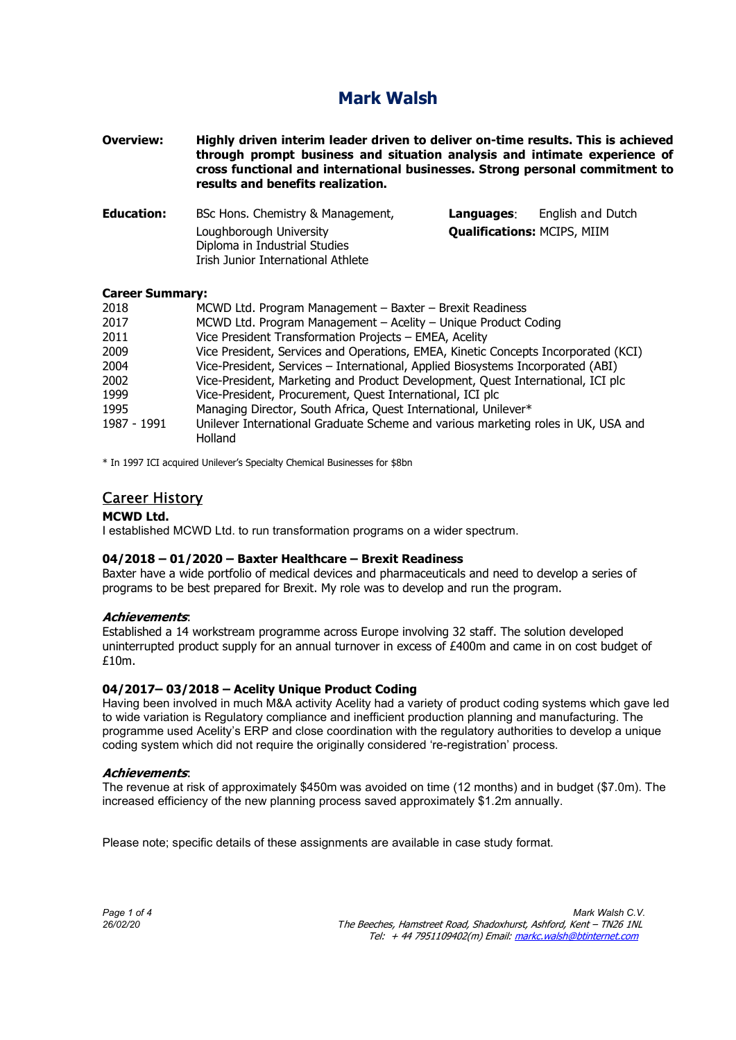Overview: Highly driven interim leader driven to deliver on-time results. This is achieved through prompt business and situation analysis and intimate experience of cross functional and international businesses. Strong personal commitment to results and benefits realization.

| Education: | BSc Hons. Chemistry & Management,                                                              | Languages:                         | English and Dutch |
|------------|------------------------------------------------------------------------------------------------|------------------------------------|-------------------|
|            | Loughborough University<br>Diploma in Industrial Studies<br>Irish Junior International Athlete | <b>Qualifications: MCIPS, MIIM</b> |                   |
|            |                                                                                                |                                    |                   |

### Career Summary:

| 2018        | MCWD Ltd. Program Management - Baxter - Brexit Readiness                           |  |
|-------------|------------------------------------------------------------------------------------|--|
| 2017        | MCWD Ltd. Program Management - Acelity - Unique Product Coding                     |  |
| 2011        | Vice President Transformation Projects - EMEA, Acelity                             |  |
| 2009        | Vice President, Services and Operations, EMEA, Kinetic Concepts Incorporated (KCI) |  |
| 2004        | Vice-President, Services - International, Applied Biosystems Incorporated (ABI)    |  |
| 2002        | Vice-President, Marketing and Product Development, Quest International, ICI plc    |  |
| 1999        | Vice-President, Procurement, Quest International, ICI plc                          |  |
| 1995        | Managing Director, South Africa, Quest International, Unilever*                    |  |
| 1987 - 1991 | Unilever International Graduate Scheme and various marketing roles in UK, USA and  |  |
|             | Holland                                                                            |  |

\* In 1997 ICI acquired Unilever's Specialty Chemical Businesses for \$8bn

# Career History

### MCWD Ltd.

I established MCWD Ltd. to run transformation programs on a wider spectrum.

### 04/2018 – 01/2020 – Baxter Healthcare – Brexit Readiness

Baxter have a wide portfolio of medical devices and pharmaceuticals and need to develop a series of programs to be best prepared for Brexit. My role was to develop and run the program.

### Achievements:

Established a 14 workstream programme across Europe involving 32 staff. The solution developed uninterrupted product supply for an annual turnover in excess of £400m and came in on cost budget of £10m.

### 04/2017– 03/2018 – Acelity Unique Product Coding

Having been involved in much M&A activity Acelity had a variety of product coding systems which gave led to wide variation is Regulatory compliance and inefficient production planning and manufacturing. The programme used Acelity's ERP and close coordination with the regulatory authorities to develop a unique coding system which did not require the originally considered 're-registration' process.

### Achievements:

The revenue at risk of approximately \$450m was avoided on time (12 months) and in budget (\$7.0m). The increased efficiency of the new planning process saved approximately \$1.2m annually.

Please note; specific details of these assignments are available in case study format.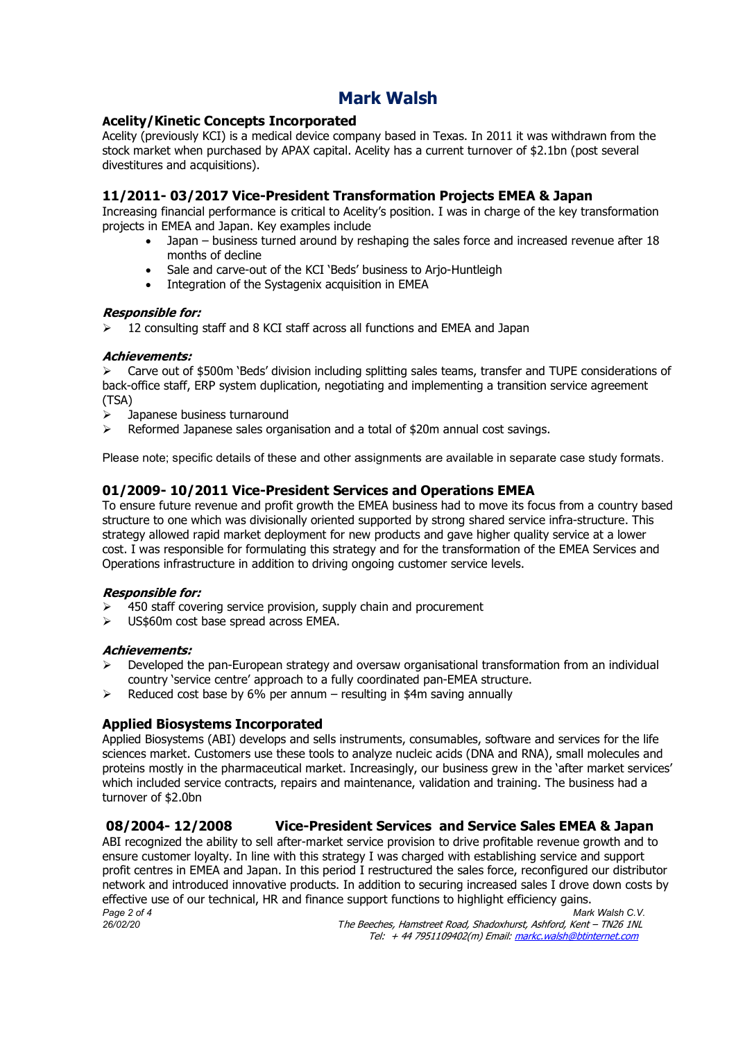# Acelity/Kinetic Concepts Incorporated

Acelity (previously KCI) is a medical device company based in Texas. In 2011 it was withdrawn from the stock market when purchased by APAX capital. Acelity has a current turnover of \$2.1bn (post several divestitures and acquisitions).

# 11/2011- 03/2017 Vice-President Transformation Projects EMEA & Japan

Increasing financial performance is critical to Acelity's position. I was in charge of the key transformation projects in EMEA and Japan. Key examples include

- Japan business turned around by reshaping the sales force and increased revenue after 18 months of decline
- Sale and carve-out of the KCI 'Beds' business to Arjo-Huntleigh
- Integration of the Systagenix acquisition in EMEA

## Responsible for:

12 consulting staff and 8 KCI staff across all functions and EMEA and Japan

## Achievements:

 Carve out of \$500m 'Beds' division including splitting sales teams, transfer and TUPE considerations of back-office staff, ERP system duplication, negotiating and implementing a transition service agreement (TSA)

- Japanese business turnaround
- Reformed Japanese sales organisation and a total of \$20m annual cost savings.

Please note; specific details of these and other assignments are available in separate case study formats.

# 01/2009- 10/2011 Vice-President Services and Operations EMEA

To ensure future revenue and profit growth the EMEA business had to move its focus from a country based structure to one which was divisionally oriented supported by strong shared service infra-structure. This strategy allowed rapid market deployment for new products and gave higher quality service at a lower cost. I was responsible for formulating this strategy and for the transformation of the EMEA Services and Operations infrastructure in addition to driving ongoing customer service levels.

### Responsible for:

- 450 staff covering service provision, supply chain and procurement
- US\$60m cost base spread across EMEA.

### Achievements:

- Developed the pan-European strategy and oversaw organisational transformation from an individual country 'service centre' approach to a fully coordinated pan-EMEA structure.
- Reduced cost base by 6% per annum resulting in \$4m saving annually

# Applied Biosystems Incorporated

Applied Biosystems (ABI) develops and sells instruments, consumables, software and services for the life sciences market. Customers use these tools to analyze nucleic acids (DNA and RNA), small molecules and proteins mostly in the pharmaceutical market. Increasingly, our business grew in the 'after market services' which included service contracts, repairs and maintenance, validation and training. The business had a turnover of \$2.0bn

# 08/2004- 12/2008 Vice-President Services and Service Sales EMEA & Japan

Page 2 of 4 Mark Walsh C.V. ABI recognized the ability to sell after-market service provision to drive profitable revenue growth and to ensure customer loyalty. In line with this strategy I was charged with establishing service and support profit centres in EMEA and Japan. In this period I restructured the sales force, reconfigured our distributor network and introduced innovative products. In addition to securing increased sales I drove down costs by effective use of our technical, HR and finance support functions to highlight efficiency gains.<br>Page 2 of 4 Mark Walsh C.V.

26/02/20 The Beeches, Hamstreet Road, Shadoxhurst, Ashford, Kent – TN26 1NL Tel: + 44 7951109402(m) Email: markc.walsh@btinternet.com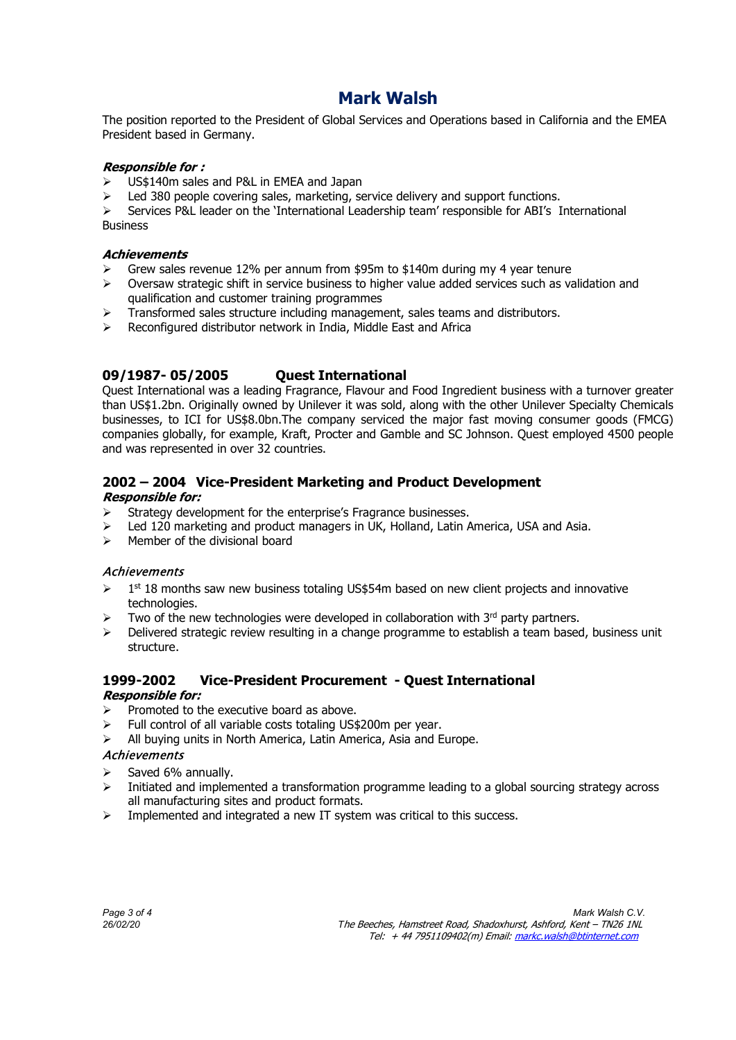The position reported to the President of Global Services and Operations based in California and the EMEA President based in Germany.

## Responsible for :

- US\$140m sales and P&L in EMEA and Japan
- $\geq$  Led 380 people covering sales, marketing, service delivery and support functions.

 $\triangleright$  Services P&L leader on the 'International Leadership team' responsible for ABI's International **Business** 

# **Achievements**

- Grew sales revenue 12% per annum from \$95m to \$140m during my 4 year tenure
- $\triangleright$  Oversaw strategic shift in service business to higher value added services such as validation and qualification and customer training programmes
- Transformed sales structure including management, sales teams and distributors.
- Reconfigured distributor network in India, Middle East and Africa

# 09/1987- 05/2005 Quest International

Quest International was a leading Fragrance, Flavour and Food Ingredient business with a turnover greater than US\$1.2bn. Originally owned by Unilever it was sold, along with the other Unilever Specialty Chemicals businesses, to ICI for US\$8.0bn.The company serviced the major fast moving consumer goods (FMCG) companies globally, for example, Kraft, Procter and Gamble and SC Johnson. Quest employed 4500 people and was represented in over 32 countries.

# 2002 – 2004 Vice-President Marketing and Product Development

### Responsible for:

- Strategy development for the enterprise's Fragrance businesses.
- Led 120 marketing and product managers in UK, Holland, Latin America, USA and Asia.
- $\triangleright$  Member of the divisional board

### Achievements

- $\geq 1$ <sup>st</sup> 18 months saw new business totaling US\$54m based on new client projects and innovative technologies.
- Two of the new technologies were developed in collaboration with  $3<sup>rd</sup>$  party partners.
- Delivered strategic review resulting in a change programme to establish a team based, business unit structure.

### 1999-2002 Vice-President Procurement - Quest International Responsible for:

- Promoted to the executive board as above.
- Full control of all variable costs totaling US\$200m per year.
- $\triangleright$  All buying units in North America, Latin America, Asia and Europe.

### **Achievements**

- Saved 6% annually.
- $\triangleright$  Initiated and implemented a transformation programme leading to a global sourcing strategy across all manufacturing sites and product formats.
- $\triangleright$  Implemented and integrated a new IT system was critical to this success.